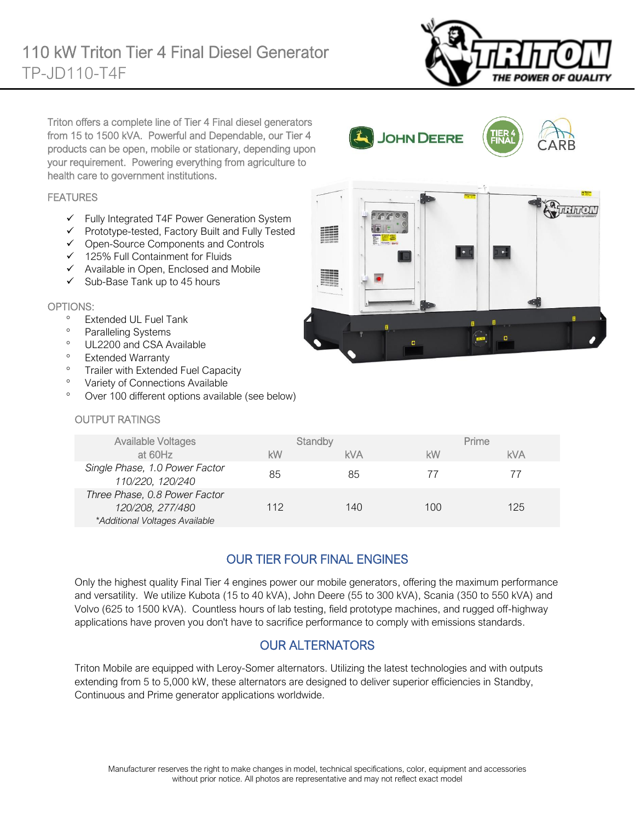

Triton offers a complete line of Tier 4 Final diesel generators from 15 to 1500 kVA. Powerful and Dependable, our Tier 4 products can be open, mobile or stationary, depending upon your requirement. Powering everything from agriculture to health care to government institutions.

### FEATURES

- ✓ Fully Integrated T4F Power Generation System
- ✓ Prototype-tested, Factory Built and Fully Tested
- ✓ Open-Source Components and Controls
- ✓ 125% Full Containment for Fluids
- ✓ Available in Open, Enclosed and Mobile
- $\checkmark$  Sub-Base Tank up to 45 hours

### OPTIONS:

- Extended UL Fuel Tank
- <sup>o</sup> Paralleling Systems
- <sup>o</sup> UL2200 and CSA Available
- Extended Warranty
- <sup>o</sup> Trailer with Extended Fuel Capacity
- <sup>o</sup> Variety of Connections Available
- Over 100 different options available (see below)

### OUTPUT RATINGS

| <b>Available Voltages</b>                                                           | Standby |            | Prime |     |
|-------------------------------------------------------------------------------------|---------|------------|-------|-----|
| at 60Hz                                                                             | kW      | <b>kVA</b> | kW    | kVA |
| Single Phase, 1.0 Power Factor<br>110/220, 120/240                                  | 85      | 85         | 77    | 77  |
| Three Phase, 0.8 Power Factor<br>120/208, 277/480<br>*Additional Voltages Available | 112     | 140        | 100   | 125 |

Ĩ.

JOHN DEERE

 $GQQ$ 

í

## OUR TIER FOUR FINAL ENGINES

Only the highest quality Final Tier 4 engines power our mobile generators, offering the maximum performance and versatility. We utilize Kubota (15 to 40 kVA), John Deere (55 to 300 kVA), Scania (350 to 550 kVA) and Volvo (625 to 1500 kVA). Countless hours of lab testing, field prototype machines, and rugged off-highway applications have proven you don't have to sacrifice performance to comply with emissions standards.

## OUR ALTERNATORS

Triton Mobile are equipped with Leroy-Somer alternators. Utilizing the latest technologies and with outputs extending from 5 to 5,000 kW, these alternators are designed to deliver superior efficiencies in Standby, Continuous and Prime generator applications worldwide.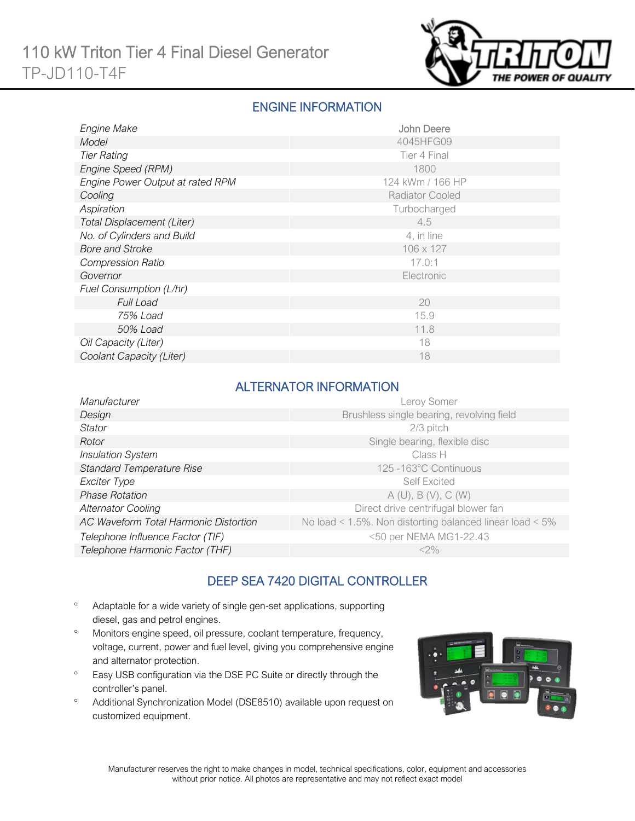

## ENGINE INFORMATION

| Engine Make                       | John Deere             |
|-----------------------------------|------------------------|
| Model                             | 4045HFG09              |
| <b>Tier Rating</b>                | Tier 4 Final           |
| Engine Speed (RPM)                | 1800                   |
| Engine Power Output at rated RPM  | 124 kWm / 166 HP       |
| Cooling                           | <b>Radiator Cooled</b> |
| Aspiration                        | Turbocharged           |
| <b>Total Displacement (Liter)</b> | 4.5                    |
| No. of Cylinders and Build        | 4, in line             |
| <b>Bore and Stroke</b>            | 106 x 127              |
| <b>Compression Ratio</b>          | 17.0:1                 |
| Governor                          | Electronic             |
| Fuel Consumption (L/hr)           |                        |
| <b>Full Load</b>                  | 20                     |
| 75% Load                          | 15.9                   |
| 50% Load                          | 11.8                   |
| Oil Capacity (Liter)              | 18                     |
| Coolant Capacity (Liter)          | 18                     |

## ALTERNATOR INFORMATION

| Manufacturer                          | Leroy Somer                                                     |
|---------------------------------------|-----------------------------------------------------------------|
| Design                                | Brushless single bearing, revolving field                       |
| <b>Stator</b>                         | $2/3$ pitch                                                     |
| Rotor                                 | Single bearing, flexible disc                                   |
| <b>Insulation System</b>              | Class H                                                         |
| <b>Standard Temperature Rise</b>      | 125 -163°C Continuous                                           |
| Exciter Type                          | <b>Self Excited</b>                                             |
| <b>Phase Rotation</b>                 | A(U), B(V), C(W)                                                |
| <b>Alternator Cooling</b>             | Direct drive centrifugal blower fan                             |
| AC Waveform Total Harmonic Distortion | No load < $1.5\%$ . Non distorting balanced linear load < $5\%$ |
| Telephone Influence Factor (TIF)      | <50 per NEMA MG1-22.43                                          |
| Telephone Harmonic Factor (THF)       | $<$ 2%                                                          |

## DEEP SEA 7420 DIGITAL CONTROLLER

- Adaptable for a wide variety of single gen-set applications, supporting diesel, gas and petrol engines.
- Monitors engine speed, oil pressure, coolant temperature, frequency, voltage, current, power and fuel level, giving you comprehensive engine and alternator protection.
- <sup>o</sup> Easy USB configuration via the DSE PC Suite or directly through the controller's panel.
- Additional Synchronization Model (DSE8510) available upon request on customized equipment.

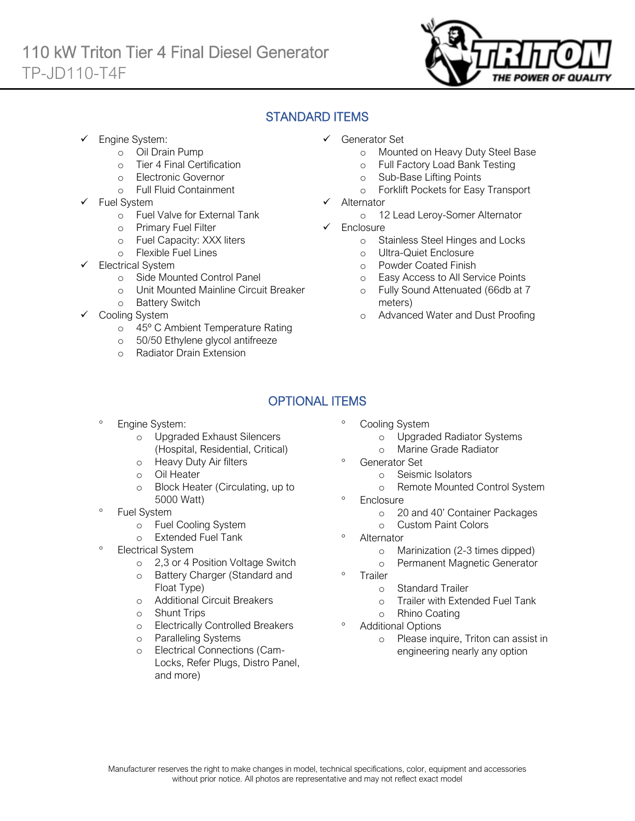

## STANDARD ITEMS

Engine System:

Ī

- o Oil Drain Pump
- o Tier 4 Final Certification
- o Electronic Governor
- o Full Fluid Containment
- Fuel System
	- o Fuel Valve for External Tank
	- o Primary Fuel Filter
	- o Fuel Capacity: XXX liters
	- o Flexible Fuel Lines
- Electrical System
	- o Side Mounted Control Panel
	- o Unit Mounted Mainline Circuit Breaker
	- o Battery Switch
- Cooling System
	- o 45º C Ambient Temperature Rating
	- o 50/50 Ethylene glycol antifreeze
	- o Radiator Drain Extension
- ✓ Generator Set
	- o Mounted on Heavy Duty Steel Base
	- o Full Factory Load Bank Testing
	- o Sub-Base Lifting Points
	- o Forklift Pockets for Easy Transport
- **Alternator** 
	- o 12 Lead Leroy-Somer Alternator
- ✓ Enclosure
	- o Stainless Steel Hinges and Locks
	- o Ultra-Quiet Enclosure
	- o Powder Coated Finish
	- o Easy Access to All Service Points
	- o Fully Sound Attenuated (66db at 7 meters)
	- o Advanced Water and Dust Proofing

# OPTIONAL ITEMS

- Engine System:
	- o Upgraded Exhaust Silencers (Hospital, Residential, Critical)
	- o Heavy Duty Air filters
	- o Oil Heater
	- o Block Heater (Circulating, up to 5000 Watt)
- Fuel System
	- o Fuel Cooling System
	- o Extended Fuel Tank
- Electrical System
	- o 2,3 or 4 Position Voltage Switch
	- o Battery Charger (Standard and Float Type)
	- o Additional Circuit Breakers
	- o Shunt Trips
	- o Electrically Controlled Breakers
	- o Paralleling Systems
	- Electrical Connections (Cam-Locks, Refer Plugs, Distro Panel, and more)
- Cooling System
	- o Upgraded Radiator Systems
	- o Marine Grade Radiator
- Generator Set
	- o Seismic Isolators
		- o Remote Mounted Control System
- <sup>o</sup> Enclosure
	- o 20 and 40' Container Packages
	- o Custom Paint Colors
- <sup>o</sup> Alternator
	- o Marinization (2-3 times dipped)
	- o Permanent Magnetic Generator
- <sup>o</sup> Trailer
	- o Standard Trailer
	- o Trailer with Extended Fuel Tank
	- o Rhino Coating

### Additional Options

o Please inquire, Triton can assist in engineering nearly any option